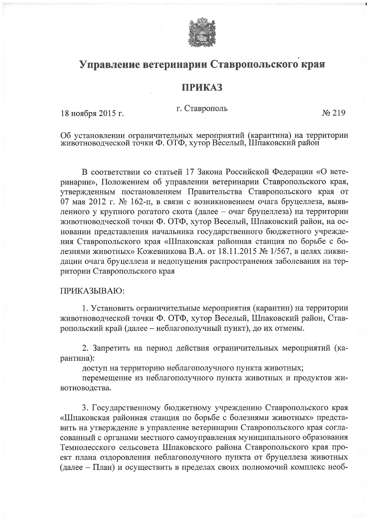

## Управление ветеринарии Ставропольского края

## **ПРИКАЗ**

## г. Ставрополь

No 219

Об установлении ограничительных мероприятий (карантина) на территории животноводческой точки Ф. ОТФ, хутор Веселый, Шпаковский район

В соответствии со статьей 17 Закона Российской Федерации «О ветеринарии», Положением об управлении ветеринарии Ставропольского края, утвержденным постановлением Правительства Ставропольского края от 07 мая 2012 г. № 162-п, в связи с возникновением очага бруцеллеза, выявленного у крупного рогатого скота (далее - очаг бруцеллеза) на территории животноводческой точки Ф. ОТФ, хутор Веселый, Шпаковский район, на основании представления начальника государственного бюджетного учреждения Ставропольского края «Шпаковская районная станция по борьбе с болезнями животных» Кожевникова В.А. от 18.11.2015 № 1/567, в целях ликвидации очага бруцеллеза и недопущения распространения заболевания на территории Ставропольского края

## ПРИКАЗЫВАЮ:

18 ноября 2015 г.

1. Установить ограничительные мероприятия (карантин) на территории животноводческой точки Ф. ОТФ, хутор Веселый, Шпаковский район, Ставропольский край (далее - неблагополучный пункт), до их отмены.

2. Запретить на период действия ограничительных мероприятий (карантина):

доступ на территорию неблагополучного пункта животных;

перемещение из неблагополучного пункта животных и продуктов животноводства.

3. Государственному бюджетному учреждению Ставропольского края «Шпаковская районная станция по борьбе с болезнями животных» представить на утверждение в управление ветеринарии Ставропольского края согласованный с органами местного самоуправления муниципального образования Темнолесского сельсовета Шпаковского района Ставропольского края проект плана оздоровления неблагополучного пункта от бруцеллеза животных (далее – План) и осуществить в пределах своих полномочий комплекс необ